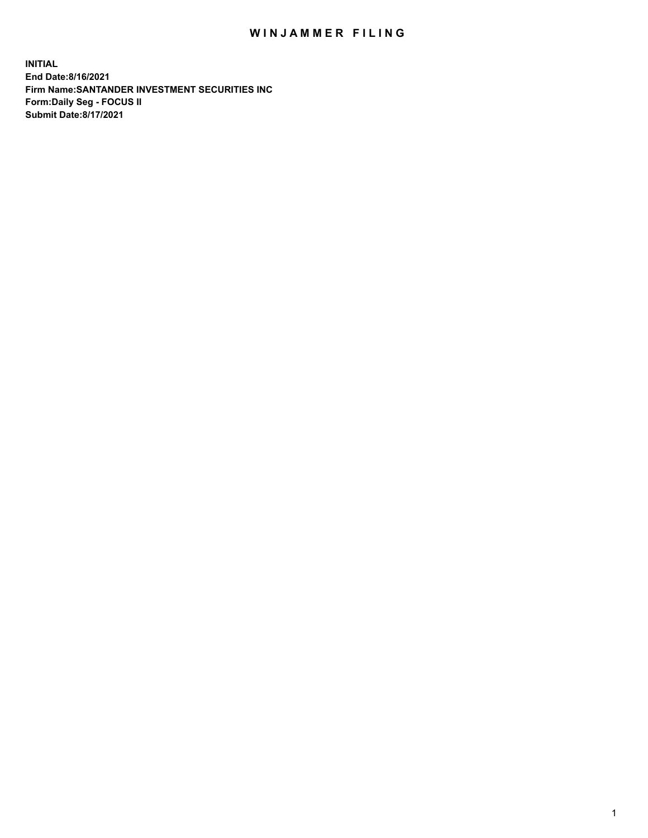## WIN JAMMER FILING

**INITIAL End Date:8/16/2021 Firm Name:SANTANDER INVESTMENT SECURITIES INC Form:Daily Seg - FOCUS II Submit Date:8/17/2021**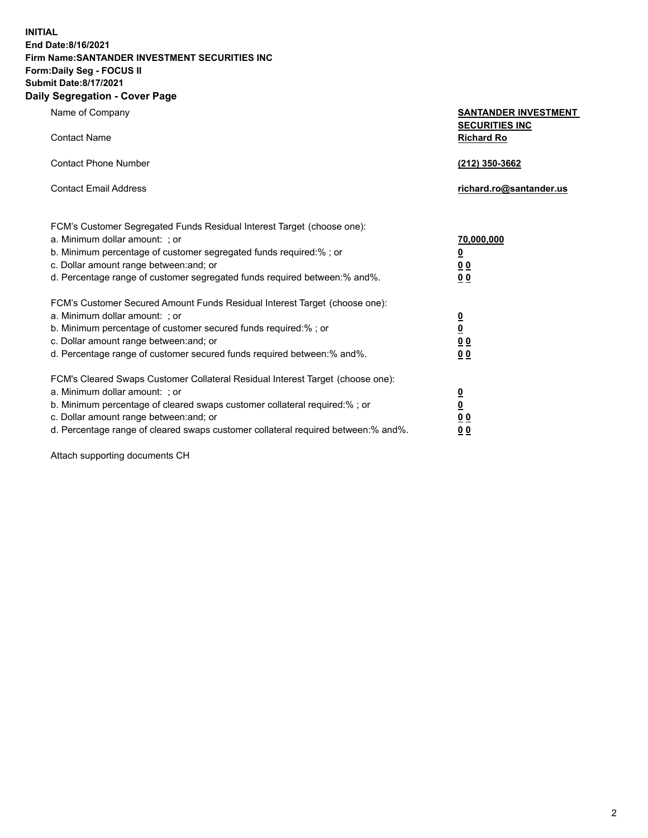**INITIAL End Date:8/16/2021 Firm Name:SANTANDER INVESTMENT SECURITIES INC Form:Daily Seg - FOCUS II Submit Date:8/17/2021 Daily Segregation - Cover Page**

| $0091090001 - 00101 + 090$                                                        |                                            |
|-----------------------------------------------------------------------------------|--------------------------------------------|
| Name of Company                                                                   | <b>SANTANDER INVESTMENT</b>                |
| <b>Contact Name</b>                                                               | <b>SECURITIES INC</b><br><b>Richard Ro</b> |
| <b>Contact Phone Number</b>                                                       | (212) 350-3662                             |
| <b>Contact Email Address</b>                                                      | richard.ro@santander.us                    |
| FCM's Customer Segregated Funds Residual Interest Target (choose one):            |                                            |
| a. Minimum dollar amount: ; or                                                    | 70,000,000                                 |
| b. Minimum percentage of customer segregated funds required:%; or                 | $\overline{\mathbf{0}}$                    |
| c. Dollar amount range between: and; or                                           | 0 <sub>0</sub>                             |
| d. Percentage range of customer segregated funds required between: % and %.       | 0 <sub>0</sub>                             |
| FCM's Customer Secured Amount Funds Residual Interest Target (choose one):        |                                            |
| a. Minimum dollar amount: ; or                                                    | $\overline{\mathbf{0}}$                    |
| b. Minimum percentage of customer secured funds required:%; or                    | $\underline{\mathbf{0}}$                   |
| c. Dollar amount range between: and; or                                           | 0 <sub>0</sub>                             |
| d. Percentage range of customer secured funds required between: % and %.          | 0 <sub>0</sub>                             |
| FCM's Cleared Swaps Customer Collateral Residual Interest Target (choose one):    |                                            |
| a. Minimum dollar amount: ; or                                                    | $\overline{\mathbf{0}}$                    |
| b. Minimum percentage of cleared swaps customer collateral required:%; or         | $\underline{\mathbf{0}}$                   |
| c. Dollar amount range between: and; or                                           | 0 <sub>0</sub>                             |
| d. Percentage range of cleared swaps customer collateral required between:% and%. | 00                                         |

Attach supporting documents CH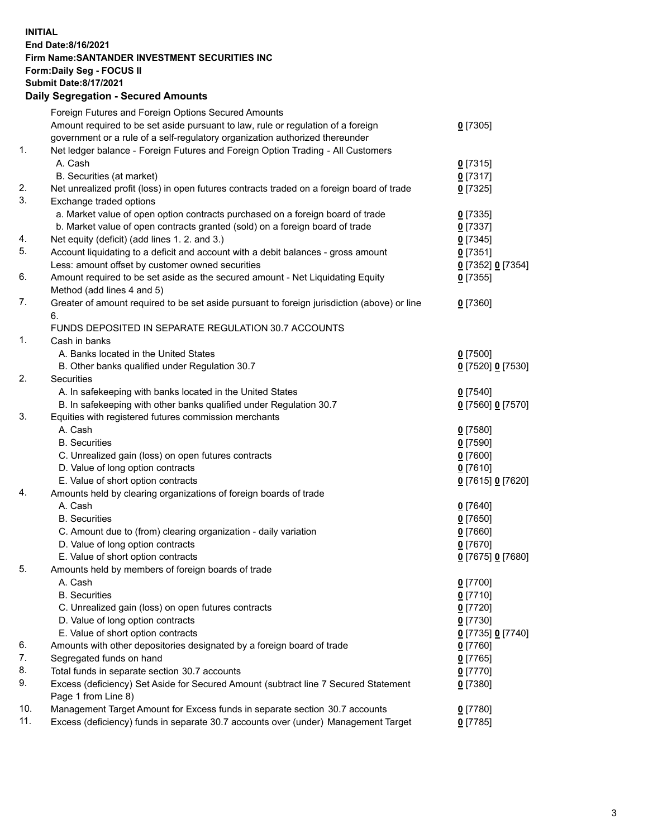**INITIAL End Date:8/16/2021 Firm Name:SANTANDER INVESTMENT SECURITIES INC Form:Daily Seg - FOCUS II Submit Date:8/17/2021 Daily Segregation - Secured Amounts**

| Amount required to be set aside pursuant to law, rule or regulation of a foreign<br>$0$ [7305]<br>government or a rule of a self-regulatory organization authorized thereunder<br>Net ledger balance - Foreign Futures and Foreign Option Trading - All Customers<br>A. Cash<br>$0$ [7315]<br>B. Securities (at market)<br>$0$ [7317]<br>Net unrealized profit (loss) in open futures contracts traded on a foreign board of trade<br>$0$ [7325]<br>Exchange traded options<br>a. Market value of open option contracts purchased on a foreign board of trade<br>$0$ [7335]<br>b. Market value of open contracts granted (sold) on a foreign board of trade<br>$0$ [7337]<br>Net equity (deficit) (add lines 1. 2. and 3.)<br>$0$ [7345]<br>Account liquidating to a deficit and account with a debit balances - gross amount<br>$0$ [7351]<br>Less: amount offset by customer owned securities<br>0 [7352] 0 [7354]<br>Amount required to be set aside as the secured amount - Net Liquidating Equity<br>$0$ [7355]<br>Method (add lines 4 and 5)<br>Greater of amount required to be set aside pursuant to foreign jurisdiction (above) or line<br>$0$ [7360]<br>6.<br>FUNDS DEPOSITED IN SEPARATE REGULATION 30.7 ACCOUNTS<br>Cash in banks<br>A. Banks located in the United States<br>$0$ [7500]<br>B. Other banks qualified under Regulation 30.7<br>0 [7520] 0 [7530]<br>Securities<br>A. In safekeeping with banks located in the United States<br>$0$ [7540]<br>B. In safekeeping with other banks qualified under Regulation 30.7<br>0 [7560] 0 [7570]<br>Equities with registered futures commission merchants<br>A. Cash<br>$0$ [7580]<br><b>B.</b> Securities<br>$0$ [7590]<br>C. Unrealized gain (loss) on open futures contracts<br>$0$ [7600]<br>D. Value of long option contracts<br>$0$ [7610]<br>E. Value of short option contracts<br>0 [7615] 0 [7620]<br>Amounts held by clearing organizations of foreign boards of trade<br>A. Cash<br>$0$ [7640]<br><b>B.</b> Securities<br>$0$ [7650]<br>C. Amount due to (from) clearing organization - daily variation<br>$0$ [7660]<br>D. Value of long option contracts<br>$0$ [7670]<br>E. Value of short option contracts<br>0 [7675] 0 [7680]<br>Amounts held by members of foreign boards of trade<br>$0$ [7700]<br>A. Cash<br><b>B.</b> Securities<br>$0$ [7710]<br>C. Unrealized gain (loss) on open futures contracts<br>$0$ [7720]<br>D. Value of long option contracts<br>$0$ [7730]<br>E. Value of short option contracts<br>0 [7735] 0 [7740]<br>Amounts with other depositories designated by a foreign board of trade<br>0 [7760]<br>Segregated funds on hand<br>$0$ [7765]<br>Total funds in separate section 30.7 accounts<br>$0$ [7770]<br>Excess (deficiency) Set Aside for Secured Amount (subtract line 7 Secured Statement<br>$0$ [7380]<br>Page 1 from Line 8)<br>Management Target Amount for Excess funds in separate section 30.7 accounts<br>0 [7780] |     | Foreign Futures and Foreign Options Secured Amounts                                |            |
|----------------------------------------------------------------------------------------------------------------------------------------------------------------------------------------------------------------------------------------------------------------------------------------------------------------------------------------------------------------------------------------------------------------------------------------------------------------------------------------------------------------------------------------------------------------------------------------------------------------------------------------------------------------------------------------------------------------------------------------------------------------------------------------------------------------------------------------------------------------------------------------------------------------------------------------------------------------------------------------------------------------------------------------------------------------------------------------------------------------------------------------------------------------------------------------------------------------------------------------------------------------------------------------------------------------------------------------------------------------------------------------------------------------------------------------------------------------------------------------------------------------------------------------------------------------------------------------------------------------------------------------------------------------------------------------------------------------------------------------------------------------------------------------------------------------------------------------------------------------------------------------------------------------------------------------------------------------------------------------------------------------------------------------------------------------------------------------------------------------------------------------------------------------------------------------------------------------------------------------------------------------------------------------------------------------------------------------------------------------------------------------------------------------------------------------------------------------------------------------------------------------------------------------------------------------------------------------------------------------------------------------------------------------------------------------------------------------------------------------------------------------------------------------------------------------------------------------------------------------------------------------------------------------------------------------------|-----|------------------------------------------------------------------------------------|------------|
|                                                                                                                                                                                                                                                                                                                                                                                                                                                                                                                                                                                                                                                                                                                                                                                                                                                                                                                                                                                                                                                                                                                                                                                                                                                                                                                                                                                                                                                                                                                                                                                                                                                                                                                                                                                                                                                                                                                                                                                                                                                                                                                                                                                                                                                                                                                                                                                                                                                                                                                                                                                                                                                                                                                                                                                                                                                                                                                                              |     |                                                                                    |            |
|                                                                                                                                                                                                                                                                                                                                                                                                                                                                                                                                                                                                                                                                                                                                                                                                                                                                                                                                                                                                                                                                                                                                                                                                                                                                                                                                                                                                                                                                                                                                                                                                                                                                                                                                                                                                                                                                                                                                                                                                                                                                                                                                                                                                                                                                                                                                                                                                                                                                                                                                                                                                                                                                                                                                                                                                                                                                                                                                              |     |                                                                                    |            |
|                                                                                                                                                                                                                                                                                                                                                                                                                                                                                                                                                                                                                                                                                                                                                                                                                                                                                                                                                                                                                                                                                                                                                                                                                                                                                                                                                                                                                                                                                                                                                                                                                                                                                                                                                                                                                                                                                                                                                                                                                                                                                                                                                                                                                                                                                                                                                                                                                                                                                                                                                                                                                                                                                                                                                                                                                                                                                                                                              | 1.  |                                                                                    |            |
|                                                                                                                                                                                                                                                                                                                                                                                                                                                                                                                                                                                                                                                                                                                                                                                                                                                                                                                                                                                                                                                                                                                                                                                                                                                                                                                                                                                                                                                                                                                                                                                                                                                                                                                                                                                                                                                                                                                                                                                                                                                                                                                                                                                                                                                                                                                                                                                                                                                                                                                                                                                                                                                                                                                                                                                                                                                                                                                                              |     |                                                                                    |            |
|                                                                                                                                                                                                                                                                                                                                                                                                                                                                                                                                                                                                                                                                                                                                                                                                                                                                                                                                                                                                                                                                                                                                                                                                                                                                                                                                                                                                                                                                                                                                                                                                                                                                                                                                                                                                                                                                                                                                                                                                                                                                                                                                                                                                                                                                                                                                                                                                                                                                                                                                                                                                                                                                                                                                                                                                                                                                                                                                              |     |                                                                                    |            |
|                                                                                                                                                                                                                                                                                                                                                                                                                                                                                                                                                                                                                                                                                                                                                                                                                                                                                                                                                                                                                                                                                                                                                                                                                                                                                                                                                                                                                                                                                                                                                                                                                                                                                                                                                                                                                                                                                                                                                                                                                                                                                                                                                                                                                                                                                                                                                                                                                                                                                                                                                                                                                                                                                                                                                                                                                                                                                                                                              | 2.  |                                                                                    |            |
|                                                                                                                                                                                                                                                                                                                                                                                                                                                                                                                                                                                                                                                                                                                                                                                                                                                                                                                                                                                                                                                                                                                                                                                                                                                                                                                                                                                                                                                                                                                                                                                                                                                                                                                                                                                                                                                                                                                                                                                                                                                                                                                                                                                                                                                                                                                                                                                                                                                                                                                                                                                                                                                                                                                                                                                                                                                                                                                                              | 3.  |                                                                                    |            |
|                                                                                                                                                                                                                                                                                                                                                                                                                                                                                                                                                                                                                                                                                                                                                                                                                                                                                                                                                                                                                                                                                                                                                                                                                                                                                                                                                                                                                                                                                                                                                                                                                                                                                                                                                                                                                                                                                                                                                                                                                                                                                                                                                                                                                                                                                                                                                                                                                                                                                                                                                                                                                                                                                                                                                                                                                                                                                                                                              |     |                                                                                    |            |
|                                                                                                                                                                                                                                                                                                                                                                                                                                                                                                                                                                                                                                                                                                                                                                                                                                                                                                                                                                                                                                                                                                                                                                                                                                                                                                                                                                                                                                                                                                                                                                                                                                                                                                                                                                                                                                                                                                                                                                                                                                                                                                                                                                                                                                                                                                                                                                                                                                                                                                                                                                                                                                                                                                                                                                                                                                                                                                                                              |     |                                                                                    |            |
|                                                                                                                                                                                                                                                                                                                                                                                                                                                                                                                                                                                                                                                                                                                                                                                                                                                                                                                                                                                                                                                                                                                                                                                                                                                                                                                                                                                                                                                                                                                                                                                                                                                                                                                                                                                                                                                                                                                                                                                                                                                                                                                                                                                                                                                                                                                                                                                                                                                                                                                                                                                                                                                                                                                                                                                                                                                                                                                                              | 4.  |                                                                                    |            |
|                                                                                                                                                                                                                                                                                                                                                                                                                                                                                                                                                                                                                                                                                                                                                                                                                                                                                                                                                                                                                                                                                                                                                                                                                                                                                                                                                                                                                                                                                                                                                                                                                                                                                                                                                                                                                                                                                                                                                                                                                                                                                                                                                                                                                                                                                                                                                                                                                                                                                                                                                                                                                                                                                                                                                                                                                                                                                                                                              | 5.  |                                                                                    |            |
|                                                                                                                                                                                                                                                                                                                                                                                                                                                                                                                                                                                                                                                                                                                                                                                                                                                                                                                                                                                                                                                                                                                                                                                                                                                                                                                                                                                                                                                                                                                                                                                                                                                                                                                                                                                                                                                                                                                                                                                                                                                                                                                                                                                                                                                                                                                                                                                                                                                                                                                                                                                                                                                                                                                                                                                                                                                                                                                                              |     |                                                                                    |            |
|                                                                                                                                                                                                                                                                                                                                                                                                                                                                                                                                                                                                                                                                                                                                                                                                                                                                                                                                                                                                                                                                                                                                                                                                                                                                                                                                                                                                                                                                                                                                                                                                                                                                                                                                                                                                                                                                                                                                                                                                                                                                                                                                                                                                                                                                                                                                                                                                                                                                                                                                                                                                                                                                                                                                                                                                                                                                                                                                              | 6.  |                                                                                    |            |
|                                                                                                                                                                                                                                                                                                                                                                                                                                                                                                                                                                                                                                                                                                                                                                                                                                                                                                                                                                                                                                                                                                                                                                                                                                                                                                                                                                                                                                                                                                                                                                                                                                                                                                                                                                                                                                                                                                                                                                                                                                                                                                                                                                                                                                                                                                                                                                                                                                                                                                                                                                                                                                                                                                                                                                                                                                                                                                                                              |     |                                                                                    |            |
|                                                                                                                                                                                                                                                                                                                                                                                                                                                                                                                                                                                                                                                                                                                                                                                                                                                                                                                                                                                                                                                                                                                                                                                                                                                                                                                                                                                                                                                                                                                                                                                                                                                                                                                                                                                                                                                                                                                                                                                                                                                                                                                                                                                                                                                                                                                                                                                                                                                                                                                                                                                                                                                                                                                                                                                                                                                                                                                                              | 7.  |                                                                                    |            |
|                                                                                                                                                                                                                                                                                                                                                                                                                                                                                                                                                                                                                                                                                                                                                                                                                                                                                                                                                                                                                                                                                                                                                                                                                                                                                                                                                                                                                                                                                                                                                                                                                                                                                                                                                                                                                                                                                                                                                                                                                                                                                                                                                                                                                                                                                                                                                                                                                                                                                                                                                                                                                                                                                                                                                                                                                                                                                                                                              |     |                                                                                    |            |
|                                                                                                                                                                                                                                                                                                                                                                                                                                                                                                                                                                                                                                                                                                                                                                                                                                                                                                                                                                                                                                                                                                                                                                                                                                                                                                                                                                                                                                                                                                                                                                                                                                                                                                                                                                                                                                                                                                                                                                                                                                                                                                                                                                                                                                                                                                                                                                                                                                                                                                                                                                                                                                                                                                                                                                                                                                                                                                                                              |     |                                                                                    |            |
|                                                                                                                                                                                                                                                                                                                                                                                                                                                                                                                                                                                                                                                                                                                                                                                                                                                                                                                                                                                                                                                                                                                                                                                                                                                                                                                                                                                                                                                                                                                                                                                                                                                                                                                                                                                                                                                                                                                                                                                                                                                                                                                                                                                                                                                                                                                                                                                                                                                                                                                                                                                                                                                                                                                                                                                                                                                                                                                                              | 1.  |                                                                                    |            |
|                                                                                                                                                                                                                                                                                                                                                                                                                                                                                                                                                                                                                                                                                                                                                                                                                                                                                                                                                                                                                                                                                                                                                                                                                                                                                                                                                                                                                                                                                                                                                                                                                                                                                                                                                                                                                                                                                                                                                                                                                                                                                                                                                                                                                                                                                                                                                                                                                                                                                                                                                                                                                                                                                                                                                                                                                                                                                                                                              |     |                                                                                    |            |
|                                                                                                                                                                                                                                                                                                                                                                                                                                                                                                                                                                                                                                                                                                                                                                                                                                                                                                                                                                                                                                                                                                                                                                                                                                                                                                                                                                                                                                                                                                                                                                                                                                                                                                                                                                                                                                                                                                                                                                                                                                                                                                                                                                                                                                                                                                                                                                                                                                                                                                                                                                                                                                                                                                                                                                                                                                                                                                                                              |     |                                                                                    |            |
|                                                                                                                                                                                                                                                                                                                                                                                                                                                                                                                                                                                                                                                                                                                                                                                                                                                                                                                                                                                                                                                                                                                                                                                                                                                                                                                                                                                                                                                                                                                                                                                                                                                                                                                                                                                                                                                                                                                                                                                                                                                                                                                                                                                                                                                                                                                                                                                                                                                                                                                                                                                                                                                                                                                                                                                                                                                                                                                                              | 2.  |                                                                                    |            |
|                                                                                                                                                                                                                                                                                                                                                                                                                                                                                                                                                                                                                                                                                                                                                                                                                                                                                                                                                                                                                                                                                                                                                                                                                                                                                                                                                                                                                                                                                                                                                                                                                                                                                                                                                                                                                                                                                                                                                                                                                                                                                                                                                                                                                                                                                                                                                                                                                                                                                                                                                                                                                                                                                                                                                                                                                                                                                                                                              |     |                                                                                    |            |
|                                                                                                                                                                                                                                                                                                                                                                                                                                                                                                                                                                                                                                                                                                                                                                                                                                                                                                                                                                                                                                                                                                                                                                                                                                                                                                                                                                                                                                                                                                                                                                                                                                                                                                                                                                                                                                                                                                                                                                                                                                                                                                                                                                                                                                                                                                                                                                                                                                                                                                                                                                                                                                                                                                                                                                                                                                                                                                                                              |     |                                                                                    |            |
|                                                                                                                                                                                                                                                                                                                                                                                                                                                                                                                                                                                                                                                                                                                                                                                                                                                                                                                                                                                                                                                                                                                                                                                                                                                                                                                                                                                                                                                                                                                                                                                                                                                                                                                                                                                                                                                                                                                                                                                                                                                                                                                                                                                                                                                                                                                                                                                                                                                                                                                                                                                                                                                                                                                                                                                                                                                                                                                                              | 3.  |                                                                                    |            |
|                                                                                                                                                                                                                                                                                                                                                                                                                                                                                                                                                                                                                                                                                                                                                                                                                                                                                                                                                                                                                                                                                                                                                                                                                                                                                                                                                                                                                                                                                                                                                                                                                                                                                                                                                                                                                                                                                                                                                                                                                                                                                                                                                                                                                                                                                                                                                                                                                                                                                                                                                                                                                                                                                                                                                                                                                                                                                                                                              |     |                                                                                    |            |
|                                                                                                                                                                                                                                                                                                                                                                                                                                                                                                                                                                                                                                                                                                                                                                                                                                                                                                                                                                                                                                                                                                                                                                                                                                                                                                                                                                                                                                                                                                                                                                                                                                                                                                                                                                                                                                                                                                                                                                                                                                                                                                                                                                                                                                                                                                                                                                                                                                                                                                                                                                                                                                                                                                                                                                                                                                                                                                                                              |     |                                                                                    |            |
|                                                                                                                                                                                                                                                                                                                                                                                                                                                                                                                                                                                                                                                                                                                                                                                                                                                                                                                                                                                                                                                                                                                                                                                                                                                                                                                                                                                                                                                                                                                                                                                                                                                                                                                                                                                                                                                                                                                                                                                                                                                                                                                                                                                                                                                                                                                                                                                                                                                                                                                                                                                                                                                                                                                                                                                                                                                                                                                                              |     |                                                                                    |            |
|                                                                                                                                                                                                                                                                                                                                                                                                                                                                                                                                                                                                                                                                                                                                                                                                                                                                                                                                                                                                                                                                                                                                                                                                                                                                                                                                                                                                                                                                                                                                                                                                                                                                                                                                                                                                                                                                                                                                                                                                                                                                                                                                                                                                                                                                                                                                                                                                                                                                                                                                                                                                                                                                                                                                                                                                                                                                                                                                              |     |                                                                                    |            |
|                                                                                                                                                                                                                                                                                                                                                                                                                                                                                                                                                                                                                                                                                                                                                                                                                                                                                                                                                                                                                                                                                                                                                                                                                                                                                                                                                                                                                                                                                                                                                                                                                                                                                                                                                                                                                                                                                                                                                                                                                                                                                                                                                                                                                                                                                                                                                                                                                                                                                                                                                                                                                                                                                                                                                                                                                                                                                                                                              |     |                                                                                    |            |
|                                                                                                                                                                                                                                                                                                                                                                                                                                                                                                                                                                                                                                                                                                                                                                                                                                                                                                                                                                                                                                                                                                                                                                                                                                                                                                                                                                                                                                                                                                                                                                                                                                                                                                                                                                                                                                                                                                                                                                                                                                                                                                                                                                                                                                                                                                                                                                                                                                                                                                                                                                                                                                                                                                                                                                                                                                                                                                                                              | 4.  |                                                                                    |            |
|                                                                                                                                                                                                                                                                                                                                                                                                                                                                                                                                                                                                                                                                                                                                                                                                                                                                                                                                                                                                                                                                                                                                                                                                                                                                                                                                                                                                                                                                                                                                                                                                                                                                                                                                                                                                                                                                                                                                                                                                                                                                                                                                                                                                                                                                                                                                                                                                                                                                                                                                                                                                                                                                                                                                                                                                                                                                                                                                              |     |                                                                                    |            |
|                                                                                                                                                                                                                                                                                                                                                                                                                                                                                                                                                                                                                                                                                                                                                                                                                                                                                                                                                                                                                                                                                                                                                                                                                                                                                                                                                                                                                                                                                                                                                                                                                                                                                                                                                                                                                                                                                                                                                                                                                                                                                                                                                                                                                                                                                                                                                                                                                                                                                                                                                                                                                                                                                                                                                                                                                                                                                                                                              |     |                                                                                    |            |
|                                                                                                                                                                                                                                                                                                                                                                                                                                                                                                                                                                                                                                                                                                                                                                                                                                                                                                                                                                                                                                                                                                                                                                                                                                                                                                                                                                                                                                                                                                                                                                                                                                                                                                                                                                                                                                                                                                                                                                                                                                                                                                                                                                                                                                                                                                                                                                                                                                                                                                                                                                                                                                                                                                                                                                                                                                                                                                                                              |     |                                                                                    |            |
|                                                                                                                                                                                                                                                                                                                                                                                                                                                                                                                                                                                                                                                                                                                                                                                                                                                                                                                                                                                                                                                                                                                                                                                                                                                                                                                                                                                                                                                                                                                                                                                                                                                                                                                                                                                                                                                                                                                                                                                                                                                                                                                                                                                                                                                                                                                                                                                                                                                                                                                                                                                                                                                                                                                                                                                                                                                                                                                                              |     |                                                                                    |            |
|                                                                                                                                                                                                                                                                                                                                                                                                                                                                                                                                                                                                                                                                                                                                                                                                                                                                                                                                                                                                                                                                                                                                                                                                                                                                                                                                                                                                                                                                                                                                                                                                                                                                                                                                                                                                                                                                                                                                                                                                                                                                                                                                                                                                                                                                                                                                                                                                                                                                                                                                                                                                                                                                                                                                                                                                                                                                                                                                              |     |                                                                                    |            |
|                                                                                                                                                                                                                                                                                                                                                                                                                                                                                                                                                                                                                                                                                                                                                                                                                                                                                                                                                                                                                                                                                                                                                                                                                                                                                                                                                                                                                                                                                                                                                                                                                                                                                                                                                                                                                                                                                                                                                                                                                                                                                                                                                                                                                                                                                                                                                                                                                                                                                                                                                                                                                                                                                                                                                                                                                                                                                                                                              | 5.  |                                                                                    |            |
|                                                                                                                                                                                                                                                                                                                                                                                                                                                                                                                                                                                                                                                                                                                                                                                                                                                                                                                                                                                                                                                                                                                                                                                                                                                                                                                                                                                                                                                                                                                                                                                                                                                                                                                                                                                                                                                                                                                                                                                                                                                                                                                                                                                                                                                                                                                                                                                                                                                                                                                                                                                                                                                                                                                                                                                                                                                                                                                                              |     |                                                                                    |            |
|                                                                                                                                                                                                                                                                                                                                                                                                                                                                                                                                                                                                                                                                                                                                                                                                                                                                                                                                                                                                                                                                                                                                                                                                                                                                                                                                                                                                                                                                                                                                                                                                                                                                                                                                                                                                                                                                                                                                                                                                                                                                                                                                                                                                                                                                                                                                                                                                                                                                                                                                                                                                                                                                                                                                                                                                                                                                                                                                              |     |                                                                                    |            |
|                                                                                                                                                                                                                                                                                                                                                                                                                                                                                                                                                                                                                                                                                                                                                                                                                                                                                                                                                                                                                                                                                                                                                                                                                                                                                                                                                                                                                                                                                                                                                                                                                                                                                                                                                                                                                                                                                                                                                                                                                                                                                                                                                                                                                                                                                                                                                                                                                                                                                                                                                                                                                                                                                                                                                                                                                                                                                                                                              |     |                                                                                    |            |
|                                                                                                                                                                                                                                                                                                                                                                                                                                                                                                                                                                                                                                                                                                                                                                                                                                                                                                                                                                                                                                                                                                                                                                                                                                                                                                                                                                                                                                                                                                                                                                                                                                                                                                                                                                                                                                                                                                                                                                                                                                                                                                                                                                                                                                                                                                                                                                                                                                                                                                                                                                                                                                                                                                                                                                                                                                                                                                                                              |     |                                                                                    |            |
|                                                                                                                                                                                                                                                                                                                                                                                                                                                                                                                                                                                                                                                                                                                                                                                                                                                                                                                                                                                                                                                                                                                                                                                                                                                                                                                                                                                                                                                                                                                                                                                                                                                                                                                                                                                                                                                                                                                                                                                                                                                                                                                                                                                                                                                                                                                                                                                                                                                                                                                                                                                                                                                                                                                                                                                                                                                                                                                                              |     |                                                                                    |            |
|                                                                                                                                                                                                                                                                                                                                                                                                                                                                                                                                                                                                                                                                                                                                                                                                                                                                                                                                                                                                                                                                                                                                                                                                                                                                                                                                                                                                                                                                                                                                                                                                                                                                                                                                                                                                                                                                                                                                                                                                                                                                                                                                                                                                                                                                                                                                                                                                                                                                                                                                                                                                                                                                                                                                                                                                                                                                                                                                              | 6.  |                                                                                    |            |
|                                                                                                                                                                                                                                                                                                                                                                                                                                                                                                                                                                                                                                                                                                                                                                                                                                                                                                                                                                                                                                                                                                                                                                                                                                                                                                                                                                                                                                                                                                                                                                                                                                                                                                                                                                                                                                                                                                                                                                                                                                                                                                                                                                                                                                                                                                                                                                                                                                                                                                                                                                                                                                                                                                                                                                                                                                                                                                                                              | 7.  |                                                                                    |            |
|                                                                                                                                                                                                                                                                                                                                                                                                                                                                                                                                                                                                                                                                                                                                                                                                                                                                                                                                                                                                                                                                                                                                                                                                                                                                                                                                                                                                                                                                                                                                                                                                                                                                                                                                                                                                                                                                                                                                                                                                                                                                                                                                                                                                                                                                                                                                                                                                                                                                                                                                                                                                                                                                                                                                                                                                                                                                                                                                              | 8.  |                                                                                    |            |
|                                                                                                                                                                                                                                                                                                                                                                                                                                                                                                                                                                                                                                                                                                                                                                                                                                                                                                                                                                                                                                                                                                                                                                                                                                                                                                                                                                                                                                                                                                                                                                                                                                                                                                                                                                                                                                                                                                                                                                                                                                                                                                                                                                                                                                                                                                                                                                                                                                                                                                                                                                                                                                                                                                                                                                                                                                                                                                                                              | 9.  |                                                                                    |            |
|                                                                                                                                                                                                                                                                                                                                                                                                                                                                                                                                                                                                                                                                                                                                                                                                                                                                                                                                                                                                                                                                                                                                                                                                                                                                                                                                                                                                                                                                                                                                                                                                                                                                                                                                                                                                                                                                                                                                                                                                                                                                                                                                                                                                                                                                                                                                                                                                                                                                                                                                                                                                                                                                                                                                                                                                                                                                                                                                              |     |                                                                                    |            |
|                                                                                                                                                                                                                                                                                                                                                                                                                                                                                                                                                                                                                                                                                                                                                                                                                                                                                                                                                                                                                                                                                                                                                                                                                                                                                                                                                                                                                                                                                                                                                                                                                                                                                                                                                                                                                                                                                                                                                                                                                                                                                                                                                                                                                                                                                                                                                                                                                                                                                                                                                                                                                                                                                                                                                                                                                                                                                                                                              | 10. |                                                                                    |            |
|                                                                                                                                                                                                                                                                                                                                                                                                                                                                                                                                                                                                                                                                                                                                                                                                                                                                                                                                                                                                                                                                                                                                                                                                                                                                                                                                                                                                                                                                                                                                                                                                                                                                                                                                                                                                                                                                                                                                                                                                                                                                                                                                                                                                                                                                                                                                                                                                                                                                                                                                                                                                                                                                                                                                                                                                                                                                                                                                              | 11. | Excess (deficiency) funds in separate 30.7 accounts over (under) Management Target | $0$ [7785] |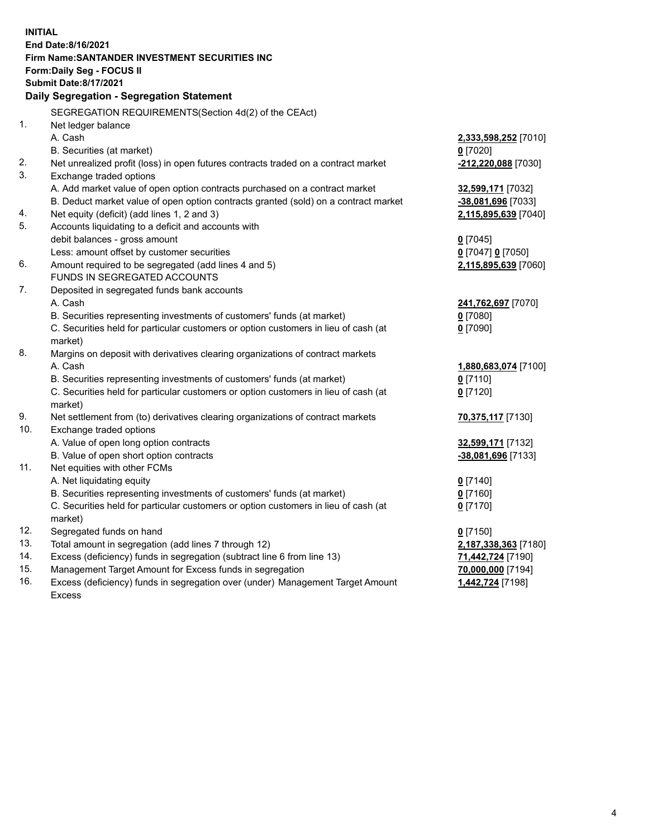|     | <b>INITIAL</b>                                                                      |                          |
|-----|-------------------------------------------------------------------------------------|--------------------------|
|     | End Date:8/16/2021                                                                  |                          |
|     | Firm Name: SANTANDER INVESTMENT SECURITIES INC                                      |                          |
|     | <b>Form:Daily Seg - FOCUS II</b>                                                    |                          |
|     | <b>Submit Date:8/17/2021</b>                                                        |                          |
|     | Daily Segregation - Segregation Statement                                           |                          |
|     | SEGREGATION REQUIREMENTS(Section 4d(2) of the CEAct)                                |                          |
| 1.  | Net ledger balance                                                                  |                          |
|     | A. Cash                                                                             | 2,333,598,252 [7010]     |
|     | B. Securities (at market)                                                           | $0$ [7020]               |
| 2.  | Net unrealized profit (loss) in open futures contracts traded on a contract market  | $-212,220,088$ [7030]    |
| 3.  | Exchange traded options                                                             |                          |
|     | A. Add market value of open option contracts purchased on a contract market         | 32,599,171 [7032]        |
|     | B. Deduct market value of open option contracts granted (sold) on a contract market | -38,081,696 [7033]       |
| 4.  | Net equity (deficit) (add lines 1, 2 and 3)                                         | 2,115,895,639 [7040]     |
| 5.  | Accounts liquidating to a deficit and accounts with                                 |                          |
|     | debit balances - gross amount                                                       | $0$ [7045]               |
|     | Less: amount offset by customer securities                                          | 0 [7047] 0 [7050]        |
| 6.  | Amount required to be segregated (add lines 4 and 5)                                | 2,115,895,639 [7060]     |
|     | FUNDS IN SEGREGATED ACCOUNTS                                                        |                          |
| 7.  | Deposited in segregated funds bank accounts                                         |                          |
|     | A. Cash                                                                             | 241,762,697 [7070]       |
|     | B. Securities representing investments of customers' funds (at market)              | $0$ [7080]               |
|     | C. Securities held for particular customers or option customers in lieu of cash (at | $0$ [7090]               |
| 8.  | market)                                                                             |                          |
|     | Margins on deposit with derivatives clearing organizations of contract markets      |                          |
|     | A. Cash<br>B. Securities representing investments of customers' funds (at market)   | 1,880,683,074 [7100]     |
|     | C. Securities held for particular customers or option customers in lieu of cash (at | $0$ [7110]<br>$0$ [7120] |
|     | market)                                                                             |                          |
| 9.  | Net settlement from (to) derivatives clearing organizations of contract markets     | 70,375,117 [7130]        |
| 10. | Exchange traded options                                                             |                          |
|     | A. Value of open long option contracts                                              | 32,599,171 [7132]        |
|     | B. Value of open short option contracts                                             | -38,081,696 [7133]       |
| 11. | Net equities with other FCMs                                                        |                          |
|     | A. Net liquidating equity                                                           | $0$ [7140]               |
|     | B. Securities representing investments of customers' funds (at market)              | $0$ [7160]               |
|     | C. Securities held for particular customers or option customers in lieu of cash (at | $0$ [7170]               |
|     | market)                                                                             |                          |
| 12. | Segregated funds on hand                                                            | $0$ [7150]               |
| 13. | Total amount in segregation (add lines 7 through 12)                                | 2,187,338,363 [7180]     |
| 14. | Excess (deficiency) funds in segregation (subtract line 6 from line 13)             | 71,442,724 [7190]        |
| 15. | Management Target Amount for Excess funds in segregation                            | 70,000,000 [7194]        |
| 16. | Excess (deficiency) funds in segregation over (under) Management Target Amount      | 1,442,724 [7198]         |
|     | <b>Excess</b>                                                                       |                          |